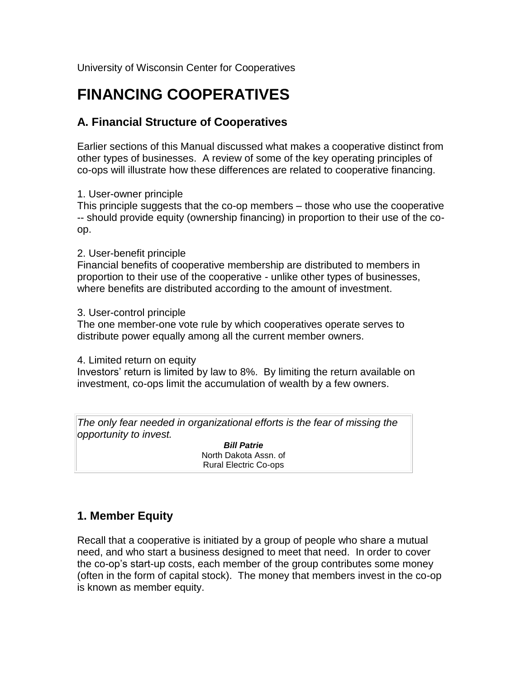University of Wisconsin Center for Cooperatives

# **FINANCING COOPERATIVES**

## **A. Financial Structure of Cooperatives**

Earlier sections of this Manual discussed what makes a cooperative distinct from other types of businesses. A review of some of the key operating principles of co-ops will illustrate how these differences are related to cooperative financing.

1. User-owner principle

This principle suggests that the co-op members – those who use the cooperative -- should provide equity (ownership financing) in proportion to their use of the coop.

#### 2. User-benefit principle

Financial benefits of cooperative membership are distributed to members in proportion to their use of the cooperative - unlike other types of businesses, where benefits are distributed according to the amount of investment.

3. User-control principle

The one member-one vote rule by which cooperatives operate serves to distribute power equally among all the current member owners.

4. Limited return on equity

Investors' return is limited by law to 8%. By limiting the return available on investment, co-ops limit the accumulation of wealth by a few owners.

*The only fear needed in organizational efforts is the fear of missing the opportunity to invest.*

> *Bill Patrie* North Dakota Assn. of Rural Electric Co-ops

## **1. Member Equity**

Recall that a cooperative is initiated by a group of people who share a mutual need, and who start a business designed to meet that need. In order to cover the co-op's start-up costs, each member of the group contributes some money (often in the form of capital stock). The money that members invest in the co-op is known as member equity.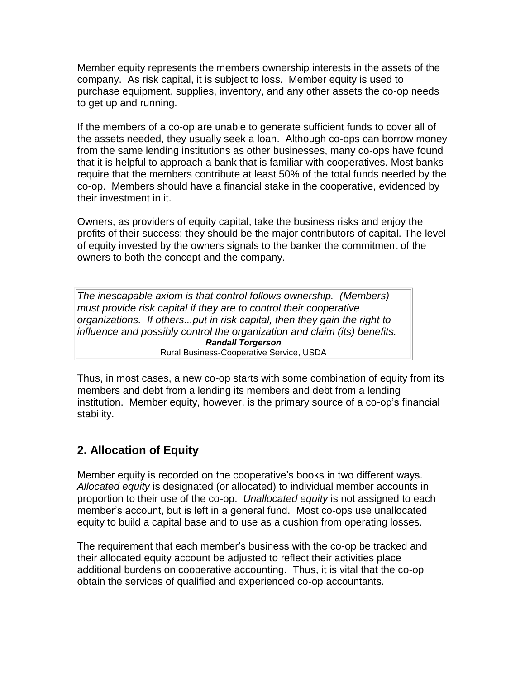Member equity represents the members ownership interests in the assets of the company. As risk capital, it is subject to loss. Member equity is used to purchase equipment, supplies, inventory, and any other assets the co-op needs to get up and running.

If the members of a co-op are unable to generate sufficient funds to cover all of the assets needed, they usually seek a loan. Although co-ops can borrow money from the same lending institutions as other businesses, many co-ops have found that it is helpful to approach a bank that is familiar with cooperatives. Most banks require that the members contribute at least 50% of the total funds needed by the co-op. Members should have a financial stake in the cooperative, evidenced by their investment in it.

Owners, as providers of equity capital, take the business risks and enjoy the profits of their success; they should be the major contributors of capital. The level of equity invested by the owners signals to the banker the commitment of the owners to both the concept and the company.

*The inescapable axiom is that control follows ownership. (Members) must provide risk capital if they are to control their cooperative organizations. If others...put in risk capital, then they gain the right to influence and possibly control the organization and claim (its) benefits. Randall Torgerson* Rural Business-Cooperative Service, USDA

Thus, in most cases, a new co-op starts with some combination of equity from its members and debt from a lending its members and debt from a lending institution. Member equity, however, is the primary source of a co-op's financial stability.

## **2. Allocation of Equity**

Member equity is recorded on the cooperative's books in two different ways. *Allocated equity* is designated (or allocated) to individual member accounts in proportion to their use of the co-op. *Unallocated equity* is not assigned to each member's account, but is left in a general fund. Most co-ops use unallocated equity to build a capital base and to use as a cushion from operating losses.

The requirement that each member's business with the co-op be tracked and their allocated equity account be adjusted to reflect their activities place additional burdens on cooperative accounting. Thus, it is vital that the co-op obtain the services of qualified and experienced co-op accountants.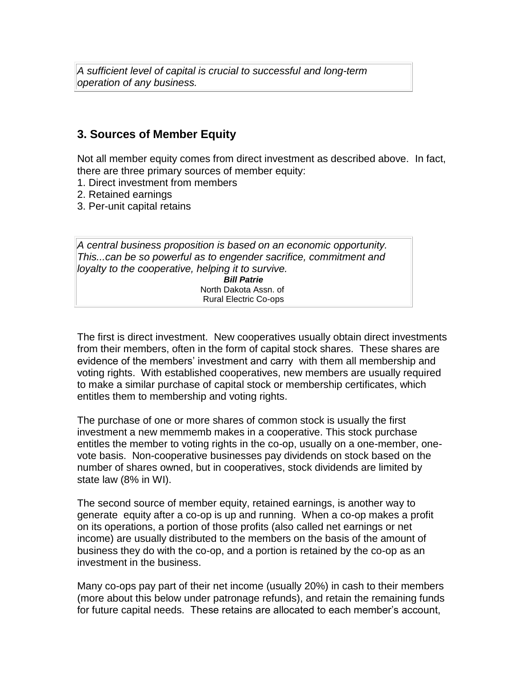*A sufficient level of capital is crucial to successful and long-term operation of any business.*

#### **3. Sources of Member Equity**

Not all member equity comes from direct investment as described above. In fact, there are three primary sources of member equity:

- 1. Direct investment from members
- 2. Retained earnings
- 3. Per-unit capital retains

*A central business proposition is based on an economic opportunity. This...can be so powerful as to engender sacrifice, commitment and loyalty to the cooperative, helping it to survive. Bill Patrie* North Dakota Assn. of Rural Electric Co-ops

The first is direct investment. New cooperatives usually obtain direct investments from their members, often in the form of capital stock shares. These shares are evidence of the members' investment and carry with them all membership and voting rights. With established cooperatives, new members are usually required to make a similar purchase of capital stock or membership certificates, which entitles them to membership and voting rights.

The purchase of one or more shares of common stock is usually the first investment a new memmemb makes in a cooperative. This stock purchase entitles the member to voting rights in the co-op, usually on a one-member, onevote basis. Non-cooperative businesses pay dividends on stock based on the number of shares owned, but in cooperatives, stock dividends are limited by state law (8% in WI).

The second source of member equity, retained earnings, is another way to generate equity after a co-op is up and running. When a co-op makes a profit on its operations, a portion of those profits (also called net earnings or net income) are usually distributed to the members on the basis of the amount of business they do with the co-op, and a portion is retained by the co-op as an investment in the business.

Many co-ops pay part of their net income (usually 20%) in cash to their members (more about this below under patronage refunds), and retain the remaining funds for future capital needs. These retains are allocated to each member's account,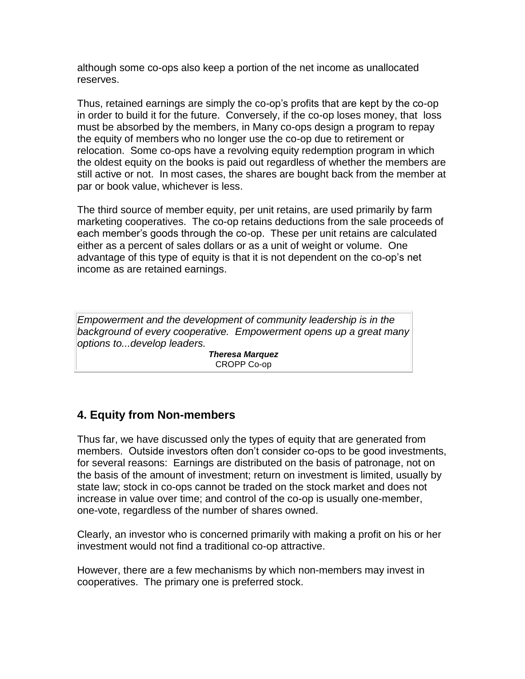although some co-ops also keep a portion of the net income as unallocated reserves.

Thus, retained earnings are simply the co-op's profits that are kept by the co-op in order to build it for the future. Conversely, if the co-op loses money, that loss must be absorbed by the members, in Many co-ops design a program to repay the equity of members who no longer use the co-op due to retirement or relocation. Some co-ops have a revolving equity redemption program in which the oldest equity on the books is paid out regardless of whether the members are still active or not. In most cases, the shares are bought back from the member at par or book value, whichever is less.

The third source of member equity, per unit retains, are used primarily by farm marketing cooperatives. The co-op retains deductions from the sale proceeds of each member's goods through the co-op. These per unit retains are calculated either as a percent of sales dollars or as a unit of weight or volume. One advantage of this type of equity is that it is not dependent on the co-op's net income as are retained earnings.

*Empowerment and the development of community leadership is in the background of every cooperative. Empowerment opens up a great many options to...develop leaders.*

> *Theresa Marquez* CROPP Co-op

### **4. Equity from Non-members**

Thus far, we have discussed only the types of equity that are generated from members. Outside investors often don't consider co-ops to be good investments, for several reasons: Earnings are distributed on the basis of patronage, not on the basis of the amount of investment; return on investment is limited, usually by state law; stock in co-ops cannot be traded on the stock market and does not increase in value over time; and control of the co-op is usually one-member, one-vote, regardless of the number of shares owned.

Clearly, an investor who is concerned primarily with making a profit on his or her investment would not find a traditional co-op attractive.

However, there are a few mechanisms by which non-members may invest in cooperatives. The primary one is preferred stock.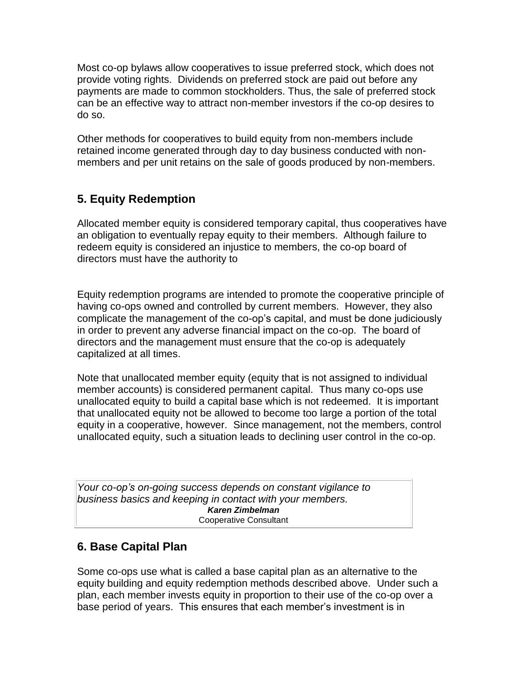Most co-op bylaws allow cooperatives to issue preferred stock, which does not provide voting rights. Dividends on preferred stock are paid out before any payments are made to common stockholders. Thus, the sale of preferred stock can be an effective way to attract non-member investors if the co-op desires to do so.

Other methods for cooperatives to build equity from non-members include retained income generated through day to day business conducted with nonmembers and per unit retains on the sale of goods produced by non-members.

## **5. Equity Redemption**

Allocated member equity is considered temporary capital, thus cooperatives have an obligation to eventually repay equity to their members. Although failure to redeem equity is considered an injustice to members, the co-op board of directors must have the authority to

Equity redemption programs are intended to promote the cooperative principle of having co-ops owned and controlled by current members. However, they also complicate the management of the co-op's capital, and must be done judiciously in order to prevent any adverse financial impact on the co-op. The board of directors and the management must ensure that the co-op is adequately capitalized at all times.

Note that unallocated member equity (equity that is not assigned to individual member accounts) is considered permanent capital. Thus many co-ops use unallocated equity to build a capital base which is not redeemed. It is important that unallocated equity not be allowed to become too large a portion of the total equity in a cooperative, however. Since management, not the members, control unallocated equity, such a situation leads to declining user control in the co-op.

*Your co-op's on-going success depends on constant vigilance to business basics and keeping in contact with your members. Karen Zimbelman* Cooperative Consultant

### **6. Base Capital Plan**

Some co-ops use what is called a base capital plan as an alternative to the equity building and equity redemption methods described above. Under such a plan, each member invests equity in proportion to their use of the co-op over a base period of years. This ensures that each member's investment is in